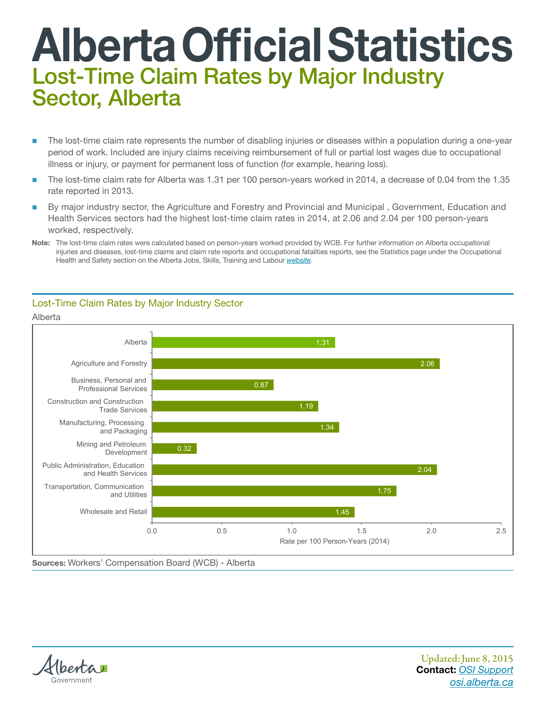## Alberta Official Statistics Lost-Time Claim Rates by Major Industry Sector, Alberta

- The lost-time claim rate represents the number of disabling injuries or diseases within a population during a one-year period of work. Included are injury claims receiving reimbursement of full or partial lost wages due to occupational illness or injury, or payment for permanent loss of function (for example, hearing loss).
- The lost-time claim rate for Alberta was 1.31 per 100 person-years worked in 2014, a decrease of 0.04 from the 1.35 rate reported in 2013.
- worked, respectively. By major industry sector, the Agriculture and Forestry and Provincial and Municipal , Government, Education and Health Services sectors had the highest lost-time claim rates in 2014, at 2.06 and 2.04 per 100 person-years worked, respectively.



## Lost-Time Claim Rates by Major Industry Sector

Sources: Workers' Compensation Board (WCB) - Alberta



Alberta

Updated: June 8, 2015 Contact: *[OSI Support](mailto:osi.support%40gov.ab.ca?subject=Lost-Time%20Claim%20Rates%20by%20Major%20Industry%20Sector%2C%20Alberta) <osi.alberta.ca>*

Health and Safety section on the Alberta Jobs, Skills, Training and Labour *[website](https://www.alberta.ca/ohs-statistics.aspx)*. Note: The lost-time claim rates were calculated based on person-years worked provided by WCB. For further information on Alberta occupational injuries and diseases, lost-time claims and claim rate reports and occupational fatalities reports, see the Statistics page under the Occupational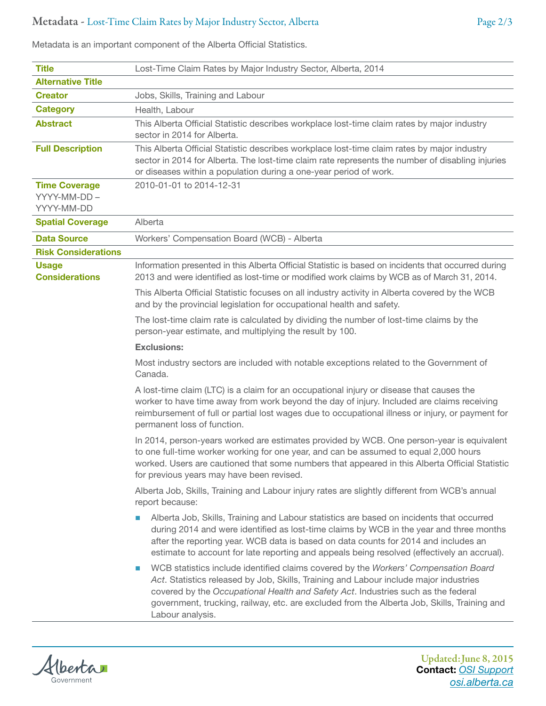## Metadata - Lost-Time Claim Rates by Major Industry Sector, Alberta Page 2/3

Metadata is an important component of the Alberta Official Statistics.

**Title Lost-Time Claim Rates by Major Industry Sector, Alberta, 2014** Alternative Title **Creator** Jobs, Skills, Training and Labour Category **Health, Labour Abstract** This Alberta Official Statistic describes workplace lost-time claim rates by major industry sector in 2014 for Alberta. **Full Description** This Alberta Official Statistic describes workplace lost-time claim rates by major industry sector in 2014 for Alberta. The lost-time claim rate represents the number of disabling injuries or diseases within a population during a one-year period of work. Time Coverage YYYY-MM-DD – YYYY-MM-DD 2010-01-01 to 2014-12-31 **Spatial Coverage** Alberta **Data Source** Workers' Compensation Board (WCB) - Alberta Risk Considerations Usage **Considerations** Information presented in this Alberta Official Statistic is based on incidents that occurred during 2013 and were identified as lost-time or modified work claims by WCB as of March 31, 2014. This Alberta Official Statistic focuses on all industry activity in Alberta covered by the WCB and by the provincial legislation for occupational health and safety. The lost-time claim rate is calculated by dividing the number of lost-time claims by the person-year estimate, and multiplying the result by 100. Exclusions: Most industry sectors are included with notable exceptions related to the Government of Canada. A lost-time claim (LTC) is a claim for an occupational injury or disease that causes the worker to have time away from work beyond the day of injury. Included are claims receiving reimbursement of full or partial lost wages due to occupational illness or injury, or payment for permanent loss of function. In 2014, person-years worked are estimates provided by WCB. One person-year is equivalent to one full-time worker working for one year, and can be assumed to equal 2,000 hours worked. Users are cautioned that some numbers that appeared in this Alberta Official Statistic for previous years may have been revised. Alberta Job, Skills, Training and Labour injury rates are slightly different from WCB's annual report because: Alberta Job, Skills, Training and Labour statistics are based on incidents that occurred during 2014 and were identified as lost-time claims by WCB in the year and three months after the reporting year. WCB data is based on data counts for 2014 and includes an estimate to account for late reporting and appeals being resolved (effectively an accrual). WCB statistics include identified claims covered by the *Workers' Compensation Board Act*. Statistics released by Job, Skills, Training and Labour include major industries covered by the *Occupational Health and Safety Act*. Industries such as the federal government, trucking, railway, etc. are excluded from the Alberta Job, Skills, Training and Labour analysis.



Updated: June 8, 2015 Contact: *[OSI Support](mailto:osi.support%40gov.ab.ca?subject=Lost-Time%20Claim%20Rates%20by%20Major%20Industry%20Sector%2C%20Alberta) <osi.alberta.ca>*